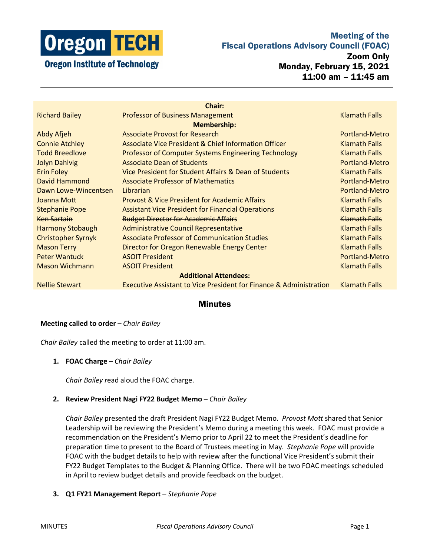

# Meeting of the Fiscal Operations Advisory Council (FOAC)

Zoom Only

Monday, February 15, 2021 11:00 am – 11:45 am

| <b>Chair:</b>                |                                                                               |                       |
|------------------------------|-------------------------------------------------------------------------------|-----------------------|
| <b>Richard Bailey</b>        | <b>Professor of Business Management</b>                                       | Klamath Falls         |
| <b>Membership:</b>           |                                                                               |                       |
| Abdy Afjeh                   | <b>Associate Provost for Research</b>                                         | Portland-Metro        |
| <b>Connie Atchley</b>        | Associate Vice President & Chief Information Officer                          | Klamath Falls         |
| <b>Todd Breedlove</b>        | <b>Professor of Computer Systems Engineering Technology</b>                   | <b>Klamath Falls</b>  |
| <b>Jolyn Dahlvig</b>         | <b>Associate Dean of Students</b>                                             | <b>Portland-Metro</b> |
| <b>Erin Foley</b>            | Vice President for Student Affairs & Dean of Students                         | <b>Klamath Falls</b>  |
| David Hammond                | <b>Associate Professor of Mathematics</b>                                     | Portland-Metro        |
| Dawn Lowe-Wincentsen         | Librarian                                                                     | Portland-Metro        |
| Joanna Mott                  | <b>Provost &amp; Vice President for Academic Affairs</b>                      | <b>Klamath Falls</b>  |
| <b>Stephanie Pope</b>        | <b>Assistant Vice President for Financial Operations</b>                      | <b>Klamath Falls</b>  |
| Ken Sartain                  | <b>Budget Director for Academic Affairs</b>                                   | <b>Klamath Falls</b>  |
| <b>Harmony Stobaugh</b>      | Administrative Council Representative                                         | <b>Klamath Falls</b>  |
| <b>Christopher Syrnyk</b>    | <b>Associate Professor of Communication Studies</b>                           | <b>Klamath Falls</b>  |
| <b>Mason Terry</b>           | Director for Oregon Renewable Energy Center                                   | <b>Klamath Falls</b>  |
| <b>Peter Wantuck</b>         | <b>ASOIT President</b>                                                        | Portland-Metro        |
| <b>Mason Wichmann</b>        | <b>ASOIT President</b>                                                        | <b>Klamath Falls</b>  |
| <b>Additional Attendees:</b> |                                                                               |                       |
| <b>Nellie Stewart</b>        | <b>Executive Assistant to Vice President for Finance &amp; Administration</b> | <b>Klamath Falls</b>  |

## **Minutes**

#### **Meeting called to order** – *Chair Bailey*

*Chair Bailey* called the meeting to order at 11:00 am.

#### **1. FOAC Charge** – *Chair Bailey*

*Chair Bailey r*ead aloud the FOAC charge.

#### **2. Review President Nagi FY22 Budget Memo** – *Chair Bailey*

*Chair Bailey* presented the draft President Nagi FY22 Budget Memo. *Provost Mott* shared that Senior Leadership will be reviewing the President's Memo during a meeting this week. FOAC must provide a recommendation on the President's Memo prior to April 22 to meet the President's deadline for preparation time to present to the Board of Trustees meeting in May. *Stephanie Pope* will provide FOAC with the budget details to help with review after the functional Vice President's submit their FY22 Budget Templates to the Budget & Planning Office. There will be two FOAC meetings scheduled in April to review budget details and provide feedback on the budget.

#### **3. Q1 FY21 Management Report** – *Stephanie Pope*